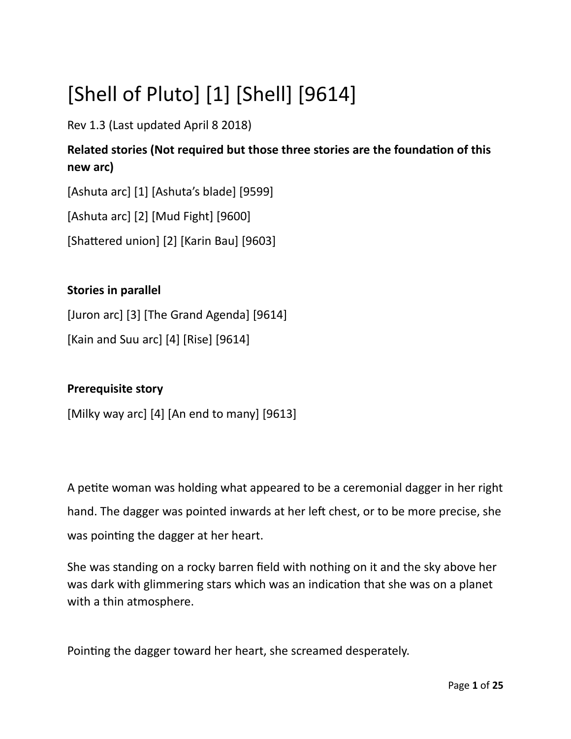# [Shell of Pluto] [1] [Shell] [9614]

Rev 1.3 (Last updated April 8 2018)

## Related stories (Not required but those three stories are the foundation of this **new arc)**

[Ashuta arc] [1] [Ashuta's blade] [9599]

[Ashuta arc] [2] [Mud Fight] [9600]

 $[Shattered union] [2] [Karin Bau] [9603]$ 

### **Stories in parallel**

[Juron arc] [3] [The Grand Agenda] [9614] [Kain and Suu arc]  $[4]$  [Rise]  $[9614]$ 

### **Prerequisite story**

[Milky way arc] [4] [An end to many] [9613]

A pette woman was holding what appeared to be a ceremonial dagger in her right hand. The dagger was pointed inwards at her left chest, or to be more precise, she was pointing the dagger at her heart.

She was standing on a rocky barren feld with nothing on it and the sky above her was dark with glimmering stars which was an indication that she was on a planet with a thin atmosphere.

Pointng the dagger toward her heart, she screamed desperately.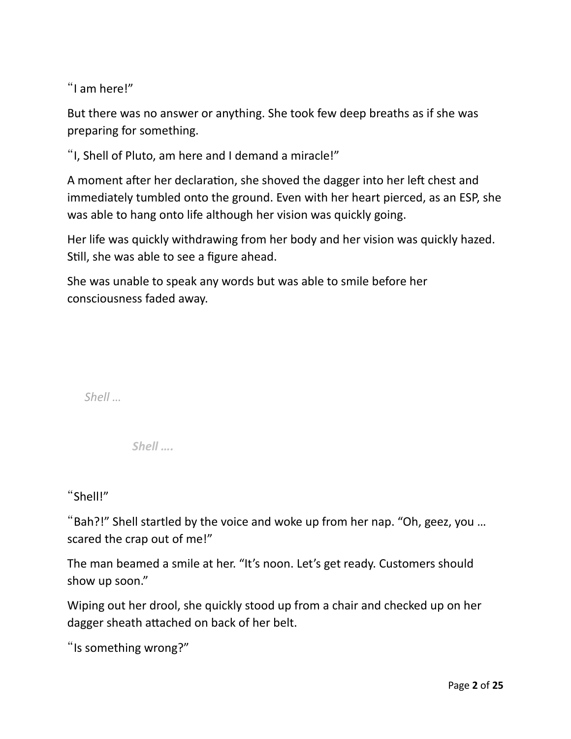"I am here!"

But there was no answer or anything. She took few deep breaths as if she was preparing for something.

"I, Shell of Pluto, am here and I demand a miracle!"

A moment after her declaration, she shoved the dagger into her left chest and immediately tumbled onto the ground. Even with her heart pierced, as an ESP, she was able to hang onto life although her vision was quickly going.

Her life was quickly withdrawing from her body and her vision was quickly hazed. Still, she was able to see a figure ahead.

She was unable to speak any words but was able to smile before her consciousness faded away.

*Shell …*

*Shell ….*

"Shell!"

"Bah?!" Shell startled by the voice and woke up from her nap. "Oh, geez, you ... scared the crap out of me!"

The man beamed a smile at her. "It's noon. Let's get ready. Customers should show up soon."

Wiping out her drool, she quickly stood up from a chair and checked up on her dagger sheath atached on back of her belt.

"Is something wrong?"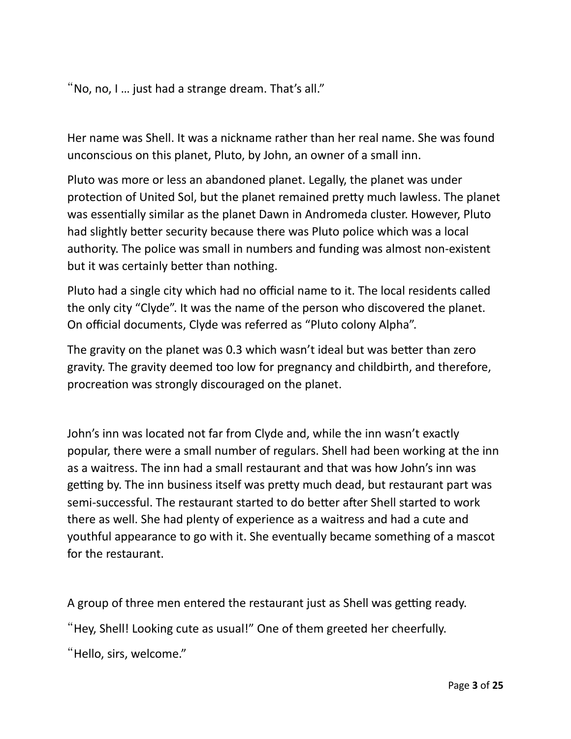"No, no, I … just had a strange dream. That's all."

Her name was Shell. It was a nickname rather than her real name. She was found unconscious on this planet, Pluto, by John, an owner of a small inn.

Pluto was more or less an abandoned planet. Legally, the planet was under protection of United Sol, but the planet remained pretty much lawless. The planet was essentially similar as the planet Dawn in Andromeda cluster. However, Pluto had slightly better security because there was Pluto police which was a local authority. The police was small in numbers and funding was almost non-existent but it was certainly better than nothing.

Pluto had a single city which had no official name to it. The local residents called the only city "Clyde". It was the name of the person who discovered the planet. On official documents, Clyde was referred as "Pluto colony Alpha".

The gravity on the planet was 0.3 which wasn't ideal but was better than zero gravity. The gravity deemed too low for pregnancy and childbirth, and therefore, procreation was strongly discouraged on the planet.

John's inn was located not far from Clyde and, while the inn wasn't exactly popular, there were a small number of regulars. Shell had been working at the inn as a waitress. The inn had a small restaurant and that was how John's inn was getting by. The inn business itself was pretty much dead, but restaurant part was semi-successful. The restaurant started to do better after Shell started to work there as well. She had plenty of experience as a waitress and had a cute and youthful appearance to go with it. She eventually became something of a mascot for the restaurant.

A group of three men entered the restaurant just as Shell was getting ready.

"Hey, Shell! Looking cute as usual!" One of them greeted her cheerfully.

"Hello, sirs, welcome."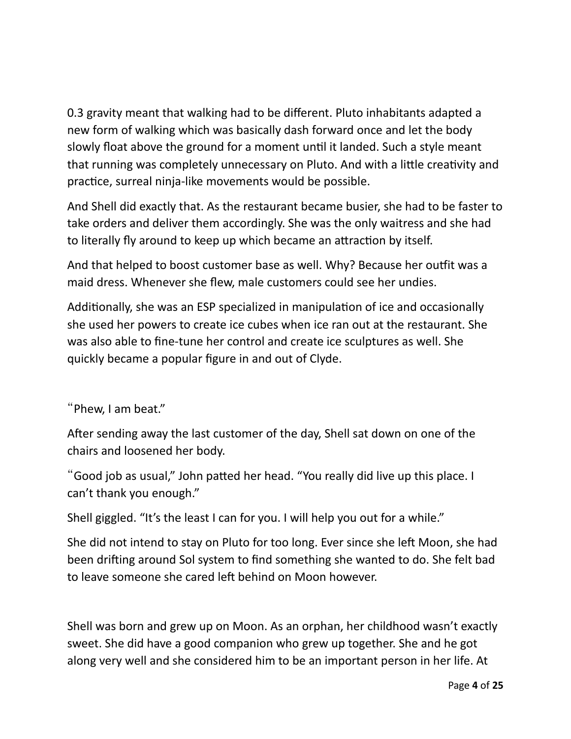0.3 gravity meant that walking had to be diferent. Pluto inhabitants adapted a new form of walking which was basically dash forward once and let the body slowly float above the ground for a moment until it landed. Such a style meant that running was completely unnecessary on Pluto. And with a litle creatvity and practice, surreal ninja-like movements would be possible.

And Shell did exactly that. As the restaurant became busier, she had to be faster to take orders and deliver them accordingly. She was the only waitress and she had to literally fly around to keep up which became an attraction by itself.

And that helped to boost customer base as well. Why? Because her outfit was a maid dress. Whenever she flew, male customers could see her undies.

Additionally, she was an ESP specialized in manipulation of ice and occasionally she used her powers to create ice cubes when ice ran out at the restaurant. She was also able to fne-tune her control and create ice sculptures as well. She quickly became a popular fgure in and out of Clyde.

#### "Phew, I am beat."

Afer sending away the last customer of the day, Shell sat down on one of the chairs and loosened her body.

"Good job as usual," John pated her head. "You really did live up this place. I can't thank you enough."

Shell giggled. "It's the least I can for you. I will help you out for a while."

She did not intend to stay on Pluto for too long. Ever since she left Moon, she had been drifing around Sol system to fnd something she wanted to do. She felt bad to leave someone she cared left behind on Moon however.

Shell was born and grew up on Moon. As an orphan, her childhood wasn't exactly sweet. She did have a good companion who grew up together. She and he got along very well and she considered him to be an important person in her life. At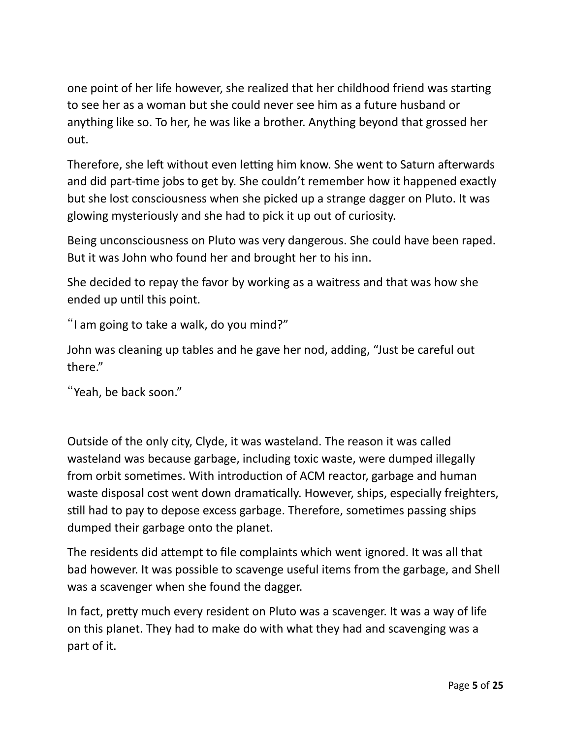one point of her life however, she realized that her childhood friend was starting to see her as a woman but she could never see him as a future husband or anything like so. To her, he was like a brother. Anything beyond that grossed her out.

Therefore, she left without even letting him know. She went to Saturn afterwards and did part-tme jobs to get by. She couldn't remember how it happened exactly but she lost consciousness when she picked up a strange dagger on Pluto. It was glowing mysteriously and she had to pick it up out of curiosity.

Being unconsciousness on Pluto was very dangerous. She could have been raped. But it was John who found her and brought her to his inn.

She decided to repay the favor by working as a waitress and that was how she ended up until this point.

"I am going to take a walk, do you mind?"

John was cleaning up tables and he gave her nod, adding, "Just be careful out there."

"Yeah, be back soon."

Outside of the only city, Clyde, it was wasteland. The reason it was called wasteland was because garbage, including toxic waste, were dumped illegally from orbit sometimes. With introduction of ACM reactor, garbage and human waste disposal cost went down dramatically. However, ships, especially freighters, still had to pay to depose excess garbage. Therefore, sometimes passing ships dumped their garbage onto the planet.

The residents did atempt to fle complaints which went ignored. It was all that bad however. It was possible to scavenge useful items from the garbage, and Shell was a scavenger when she found the dagger.

In fact, pretty much every resident on Pluto was a scavenger. It was a way of life on this planet. They had to make do with what they had and scavenging was a part of it.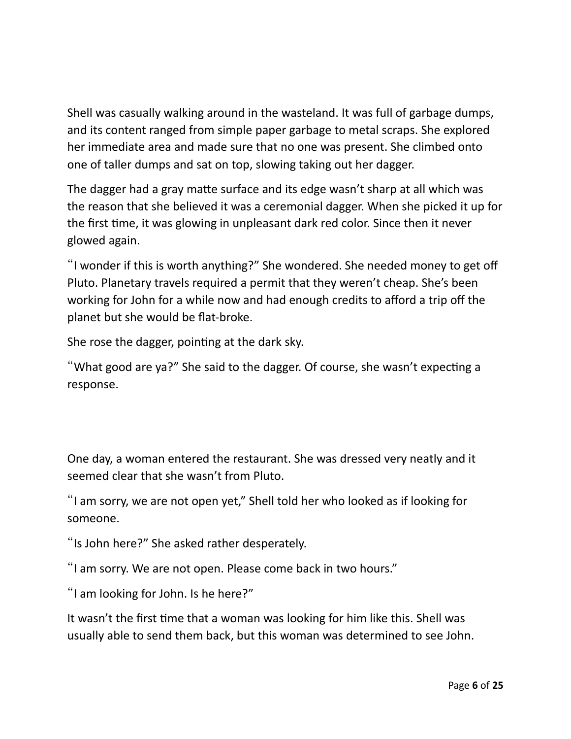Shell was casually walking around in the wasteland. It was full of garbage dumps, and its content ranged from simple paper garbage to metal scraps. She explored her immediate area and made sure that no one was present. She climbed onto one of taller dumps and sat on top, slowing taking out her dagger.

The dagger had a gray matte surface and its edge wasn't sharp at all which was the reason that she believed it was a ceremonial dagger. When she picked it up for the frst tme, it was glowing in unpleasant dark red color. Since then it never glowed again.

"I wonder if this is worth anything?" She wondered. She needed money to get of Pluto. Planetary travels required a permit that they weren't cheap. She's been working for John for a while now and had enough credits to afford a trip off the planet but she would be fat-broke.

She rose the dagger, pointing at the dark sky.

"What good are ya?" She said to the dagger. Of course, she wasn't expecting a response.

One day, a woman entered the restaurant. She was dressed very neatly and it seemed clear that she wasn't from Pluto.

"I am sorry, we are not open yet," Shell told her who looked as if looking for someone.

"Is John here?" She asked rather desperately.

"I am sorry. We are not open. Please come back in two hours."

"I am looking for John. Is he here?"

It wasn't the first time that a woman was looking for him like this. Shell was usually able to send them back, but this woman was determined to see John.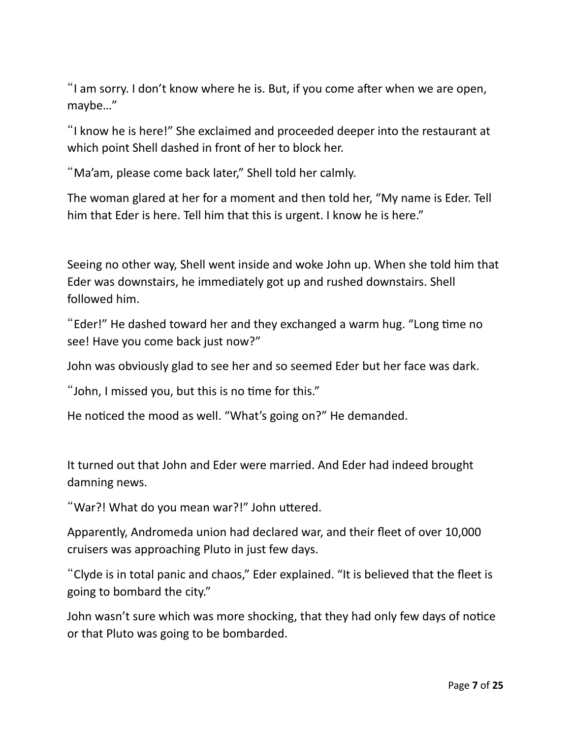"I am sorry. I don't know where he is. But, if you come after when we are open, maybe…"

"I know he is here!" She exclaimed and proceeded deeper into the restaurant at which point Shell dashed in front of her to block her.

"Ma'am, please come back later," Shell told her calmly.

The woman glared at her for a moment and then told her, "My name is Eder. Tell him that Eder is here. Tell him that this is urgent. I know he is here."

Seeing no other way, Shell went inside and woke John up. When she told him that Eder was downstairs, he immediately got up and rushed downstairs. Shell followed him.

"Eder!" He dashed toward her and they exchanged a warm hug. "Long tme no see! Have you come back just now?"

John was obviously glad to see her and so seemed Eder but her face was dark.

"John, I missed you, but this is no time for this."

He noticed the mood as well. "What's going on?" He demanded.

It turned out that John and Eder were married. And Eder had indeed brought damning news.

"War?! What do you mean war?!" John utered.

Apparently, Andromeda union had declared war, and their fleet of over 10,000 cruisers was approaching Pluto in just few days.

"Clyde is in total panic and chaos," Eder explained. "It is believed that the feet is going to bombard the city."

John wasn't sure which was more shocking, that they had only few days of notice or that Pluto was going to be bombarded.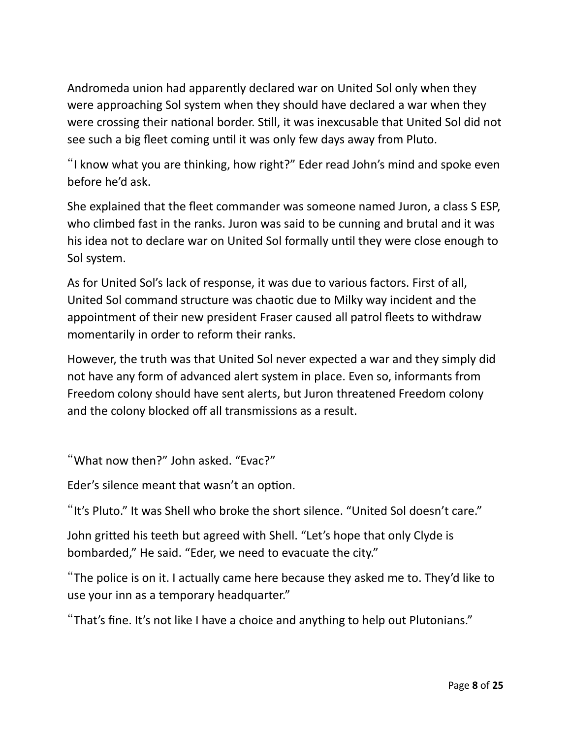Andromeda union had apparently declared war on United Sol only when they were approaching Sol system when they should have declared a war when they were crossing their national border. Still, it was inexcusable that United Sol did not see such a big fleet coming until it was only few days away from Pluto.

"I know what you are thinking, how right?" Eder read John's mind and spoke even before he'd ask.

She explained that the fleet commander was someone named Juron, a class S ESP, who climbed fast in the ranks. Juron was said to be cunning and brutal and it was his idea not to declare war on United Sol formally until they were close enough to Sol system.

As for United Sol's lack of response, it was due to various factors. First of all, United Sol command structure was chaotic due to Milky way incident and the appointment of their new president Fraser caused all patrol fleets to withdraw momentarily in order to reform their ranks.

However, the truth was that United Sol never expected a war and they simply did not have any form of advanced alert system in place. Even so, informants from Freedom colony should have sent alerts, but Juron threatened Freedom colony and the colony blocked off all transmissions as a result.

"What now then?" John asked. "Evac?"

Eder's silence meant that wasn't an option.

"It's Pluto." It was Shell who broke the short silence. "United Sol doesn't care."

John grited his teeth but agreed with Shell. "Let's hope that only Clyde is bombarded," He said. "Eder, we need to evacuate the city."

"The police is on it. I actually came here because they asked me to. They'd like to use your inn as a temporary headquarter."

"That's fne. It's not like I have a choice and anything to help out Plutonians."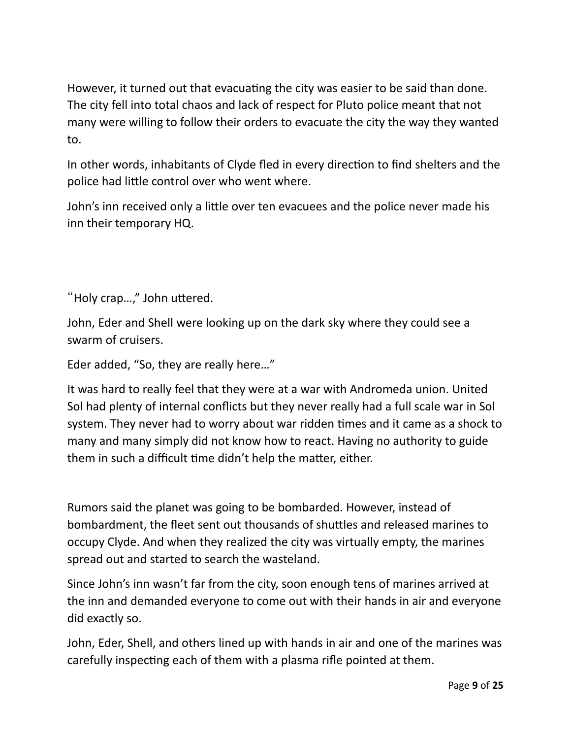However, it turned out that evacuating the city was easier to be said than done. The city fell into total chaos and lack of respect for Pluto police meant that not many were willing to follow their orders to evacuate the city the way they wanted to.

In other words, inhabitants of Clyde fled in every direction to find shelters and the police had litle control over who went where.

John's inn received only a litle over ten evacuees and the police never made his inn their temporary HQ.

"Holy crap…," John utered.

John, Eder and Shell were looking up on the dark sky where they could see a swarm of cruisers.

Eder added, "So, they are really here…"

It was hard to really feel that they were at a war with Andromeda union. United Sol had plenty of internal conficts but they never really had a full scale war in Sol system. They never had to worry about war ridden tmes and it came as a shock to many and many simply did not know how to react. Having no authority to guide them in such a difficult time didn't help the matter, either.

Rumors said the planet was going to be bombarded. However, instead of bombardment, the feet sent out thousands of shutles and released marines to occupy Clyde. And when they realized the city was virtually empty, the marines spread out and started to search the wasteland.

Since John's inn wasn't far from the city, soon enough tens of marines arrived at the inn and demanded everyone to come out with their hands in air and everyone did exactly so.

John, Eder, Shell, and others lined up with hands in air and one of the marines was carefully inspecting each of them with a plasma rifle pointed at them.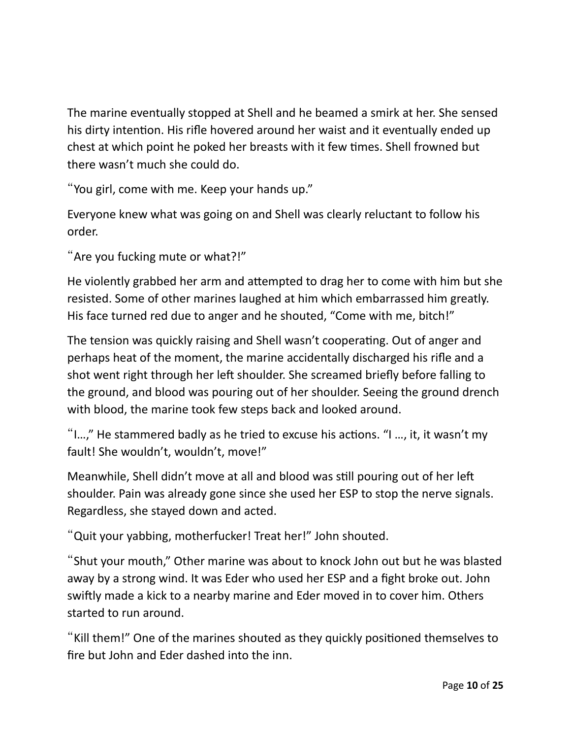The marine eventually stopped at Shell and he beamed a smirk at her. She sensed his dirty intention. His rifle hovered around her waist and it eventually ended up chest at which point he poked her breasts with it few tmes. Shell frowned but there wasn't much she could do.

"You girl, come with me. Keep your hands up."

Everyone knew what was going on and Shell was clearly reluctant to follow his order.

"Are you fucking mute or what?!"

He violently grabbed her arm and atempted to drag her to come with him but she resisted. Some of other marines laughed at him which embarrassed him greatly. His face turned red due to anger and he shouted, "Come with me, bitch!"

The tension was quickly raising and Shell wasn't cooperating. Out of anger and perhaps heat of the moment, the marine accidentally discharged his rife and a shot went right through her left shoulder. She screamed briefly before falling to the ground, and blood was pouring out of her shoulder. Seeing the ground drench with blood, the marine took few steps back and looked around.

"I…," He stammered badly as he tried to excuse his actons. "I …, it, it wasn't my fault! She wouldn't, wouldn't, move!"

Meanwhile, Shell didn't move at all and blood was still pouring out of her left shoulder. Pain was already gone since she used her ESP to stop the nerve signals. Regardless, she stayed down and acted.

"Quit your yabbing, motherfucker! Treat her!" John shouted.

"Shut your mouth," Other marine was about to knock John out but he was blasted away by a strong wind. It was Eder who used her ESP and a fight broke out. John swifly made a kick to a nearby marine and Eder moved in to cover him. Others started to run around.

"Kaill them!" One of the marines shouted as they quickly positoned themselves to fre but John and Eder dashed into the inn.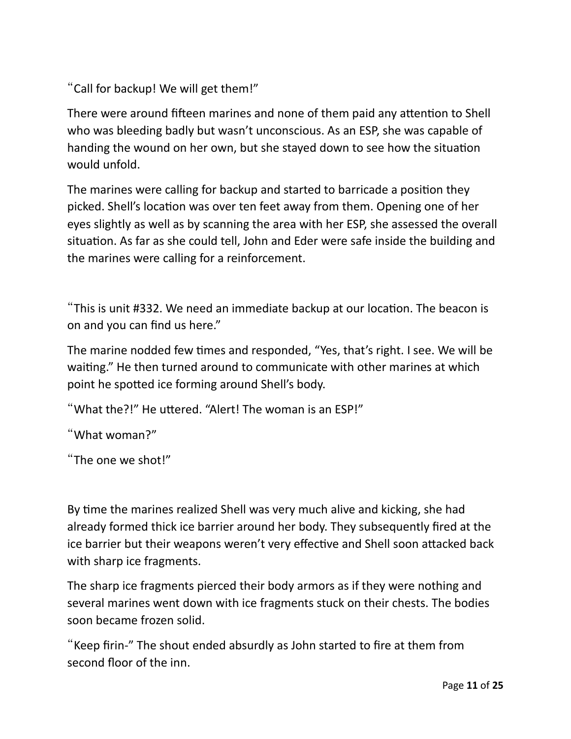"Call for backup! We will get them!"

There were around fifteen marines and none of them paid any attention to Shell who was bleeding badly but wasn't unconscious. As an ESP, she was capable of handing the wound on her own, but she stayed down to see how the situation would unfold.

The marines were calling for backup and started to barricade a positon they picked. Shell's location was over ten feet away from them. Opening one of her eyes slightly as well as by scanning the area with her ESP, she assessed the overall situation. As far as she could tell, John and Eder were safe inside the building and the marines were calling for a reinforcement.

"This is unit #332. We need an immediate backup at our location. The beacon is on and you can find us here."

The marine nodded few times and responded, "Yes, that's right. I see. We will be waiting." He then turned around to communicate with other marines at which point he spotted ice forming around Shell's body.

"What the?!" He utered. "Alert! The woman is an ESP!"

"What woman?"

"The one we shot!"

By time the marines realized Shell was very much alive and kicking, she had already formed thick ice barrier around her body. They subsequently fired at the ice barrier but their weapons weren't very effective and Shell soon attacked back with sharp ice fragments.

The sharp ice fragments pierced their body armors as if they were nothing and several marines went down with ice fragments stuck on their chests. The bodies soon became frozen solid.

"Keep firin-" The shout ended absurdly as John started to fire at them from second floor of the inn.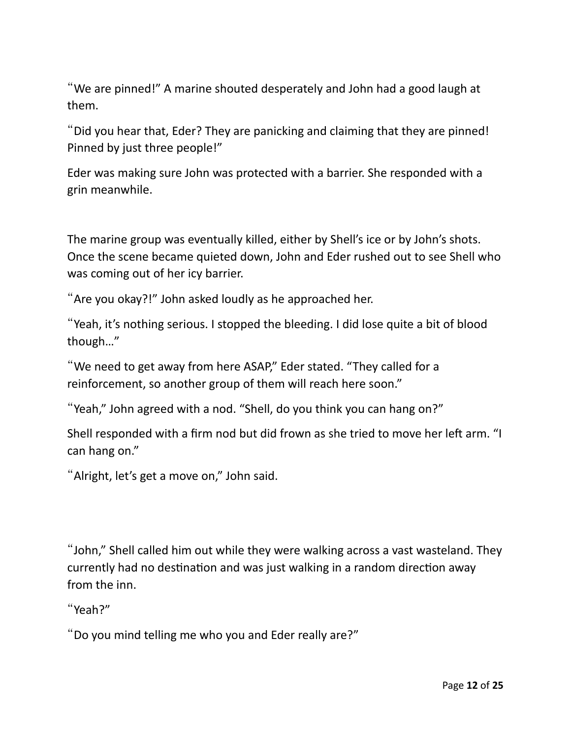"We are pinned!" A marine shouted desperately and John had a good laugh at them.

"Did you hear that, Eder? They are panicking and claiming that they are pinned! Pinned by just three people!"

Eder was making sure John was protected with a barrier. She responded with a grin meanwhile.

The marine group was eventually killed, either by Shell's ice or by John's shots. Once the scene became quieted down, John and Eder rushed out to see Shell who was coming out of her icy barrier.

"Are you okay?!" John asked loudly as he approached her.

"Yeah, it's nothing serious. I stopped the bleeding. I did lose quite a bit of blood though…"

"We need to get away from here ASAP," Eder stated. "They called for a reinforcement, so another group of them will reach here soon."

"Yeah," John agreed with a nod. "Shell, do you think you can hang on?"

Shell responded with a firm nod but did frown as she tried to move her left arm. "I can hang on."

"Alright, let's get a move on," John said.

"John," Shell called him out while they were walking across a vast wasteland. They currently had no destination and was just walking in a random direction away from the inn.

"Yeah?"

"Do you mind telling me who you and Eder really are?"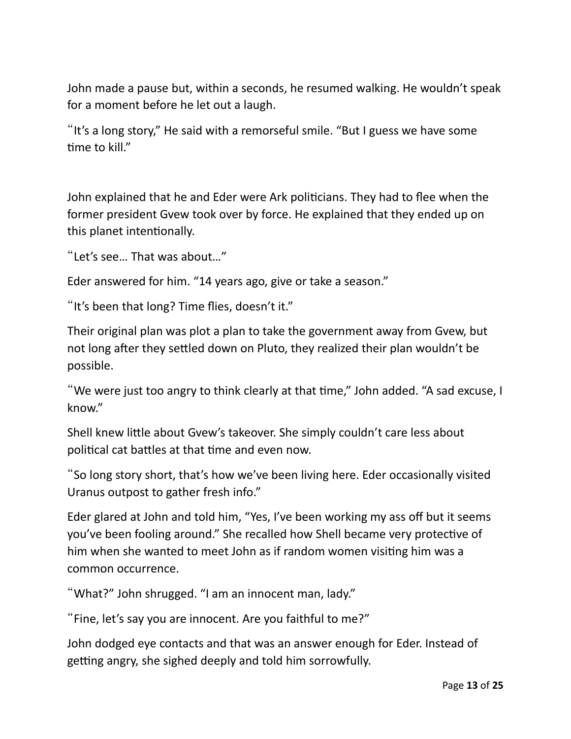John made a pause but, within a seconds, he resumed walking. He wouldn't speak for a moment before he let out a laugh.

"It's a long story," He said with a remorseful smile. "But I guess we have some time to kill."

John explained that he and Eder were Ark politicians. They had to flee when the former president Gvew took over by force. He explained that they ended up on this planet intentonally.

```
"Let's see… That was about…"
```
Eder answered for him. "14 years ago, give or take a season."

"It's been that long? Time flies, doesn't it."

Their original plan was plot a plan to take the government away from Gvew, but not long after they settled down on Pluto, they realized their plan wouldn't be possible.

"We were just too angry to think clearly at that tme," John added. "A sad excuse, I know."

Shell knew little about Gvew's takeover. She simply couldn't care less about political cat battles at that time and even now.

"So long story short, that's how we've been living here. Eder occasionally visited Uranus outpost to gather fresh info."

Eder glared at John and told him, "Yes, I've been working my ass off but it seems you've been fooling around." She recalled how Shell became very protective of him when she wanted to meet John as if random women visiting him was a common occurrence.

"What?" John shrugged. "I am an innocent man, lady."

"Fine, let's say you are innocent. Are you faithful to me?"

John dodged eye contacts and that was an answer enough for Eder. Instead of getting angry, she sighed deeply and told him sorrowfully.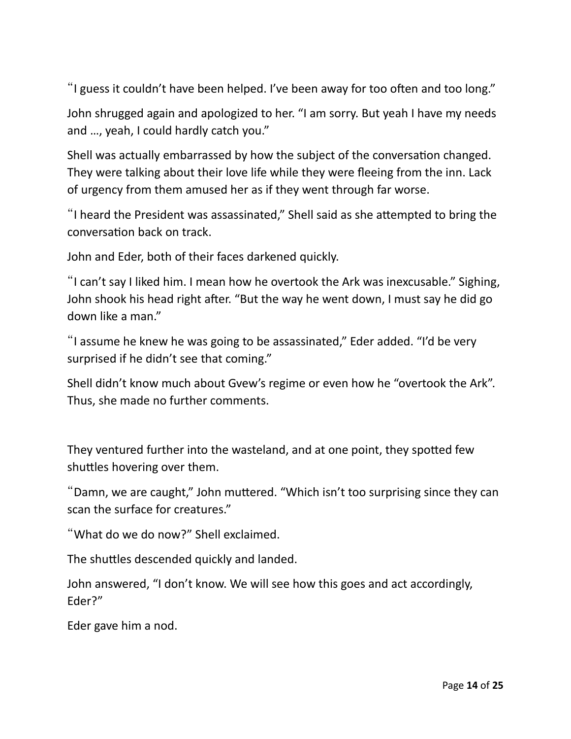"I guess it couldn't have been helped. I've been away for too often and too long."

John shrugged again and apologized to her. "I am sorry. But yeah I have my needs and …, yeah, I could hardly catch you."

Shell was actually embarrassed by how the subject of the conversation changed. They were talking about their love life while they were feeing from the inn. Lack of urgency from them amused her as if they went through far worse.

"I heard the President was assassinated," Shell said as she atempted to bring the conversation back on track.

John and Eder, both of their faces darkened quickly.

"I can't say I liked him. I mean how he overtook the Ark was inexcusable." Sighing, John shook his head right after. "But the way he went down, I must say he did go down like a man."

"I assume he knew he was going to be assassinated," Eder added. "I'd be very surprised if he didn't see that coming."

Shell didn't know much about Gvew's regime or even how he "overtook the Ark". Thus, she made no further comments.

They ventured further into the wasteland, and at one point, they spoted few shutles hovering over them.

"Damn, we are caught," John mutered. "Which isn't too surprising since they can scan the surface for creatures."

"What do we do now?" Shell exclaimed.

The shuttles descended quickly and landed.

John answered, "I don't know. We will see how this goes and act accordingly, Eder?"

Eder gave him a nod.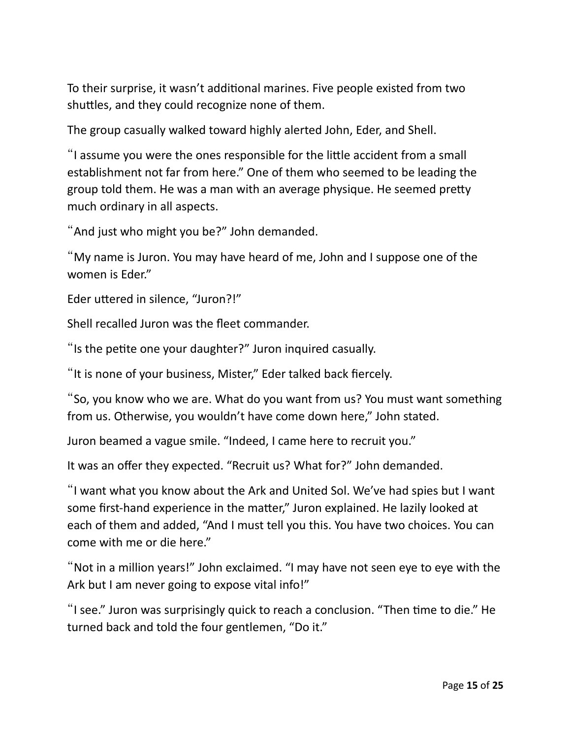To their surprise, it wasn't additonal marines. Five people existed from two shutles, and they could recognize none of them.

The group casually walked toward highly alerted John, Eder, and Shell.

"I assume you were the ones responsible for the litle accident from a small establishment not far from here." One of them who seemed to be leading the group told them. He was a man with an average physique. He seemed prety much ordinary in all aspects.

"And just who might you be?" John demanded.

"My name is Juron. You may have heard of me, John and I suppose one of the women is Eder."

Eder uttered in silence, "Juron?!"

Shell recalled Juron was the fleet commander.

"Is the pette one your daughter?" Juron inquired casually.

"It is none of your business, Mister," Eder talked back fercely.

"So, you know who we are. What do you want from us? You must want something from us. Otherwise, you wouldn't have come down here," John stated.

Juron beamed a vague smile. "Indeed, I came here to recruit you."

It was an offer they expected. "Recruit us? What for?" John demanded.

"I want what you know about the Ark and United Sol. We've had spies but I want some frst-hand experience in the mater," Juron explained. He lazily looked at each of them and added, "And I must tell you this. You have two choices. You can come with me or die here."

"Not in a million years!" John exclaimed. "I may have not seen eye to eye with the Ark but I am never going to expose vital info!"

"I see." Juron was surprisingly quick to reach a conclusion. "Then tme to die." He turned back and told the four gentlemen, "Do it."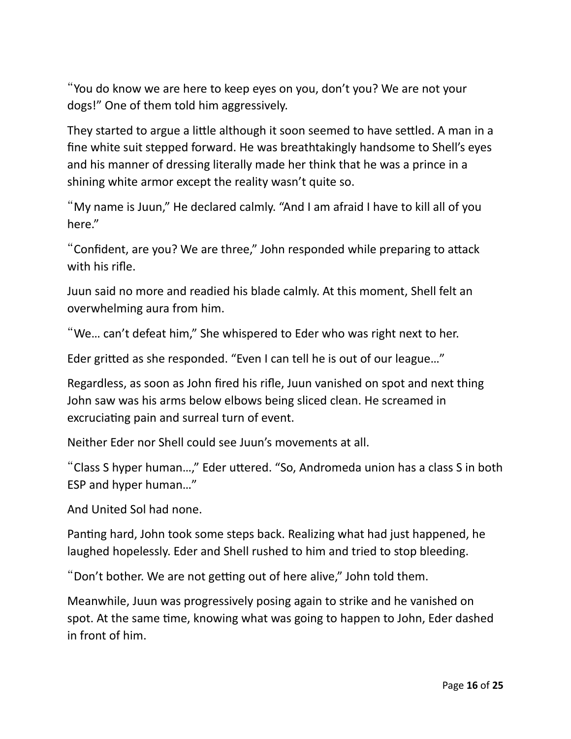"You do know we are here to keep eyes on you, don't you? We are not your dogs!" One of them told him aggressively.

They started to argue a litle although it soon seemed to have setled. A man in a fne white suit stepped forward. He was breathtakingly handsome to Shell's eyes and his manner of dressing literally made her think that he was a prince in a shining white armor except the reality wasn't quite so.

"My name is Juun," He declared calmly. "And I am afraid I have to kill all of you here."

"Confident, are you? We are three," John responded while preparing to attack with his rife.

Juun said no more and readied his blade calmly. At this moment, Shell felt an overwhelming aura from him.

"We… can't defeat him," She whispered to Eder who was right next to her.

Eder grited as she responded. "Even I can tell he is out of our league…"

Regardless, as soon as John fred his rife, Juun vanished on spot and next thing John saw was his arms below elbows being sliced clean. He screamed in excruciating pain and surreal turn of event.

Neither Eder nor Shell could see Juun's movements at all.

"Class S hyper human…," Eder utered. "So, Andromeda union has a class S in both ESP and hyper human…"

And United Sol had none.

Panting hard, John took some steps back. Realizing what had just happened, he laughed hopelessly. Eder and Shell rushed to him and tried to stop bleeding.

"Don't bother. We are not getting out of here alive," John told them.

Meanwhile, Juun was progressively posing again to strike and he vanished on spot. At the same time, knowing what was going to happen to John, Eder dashed in front of him.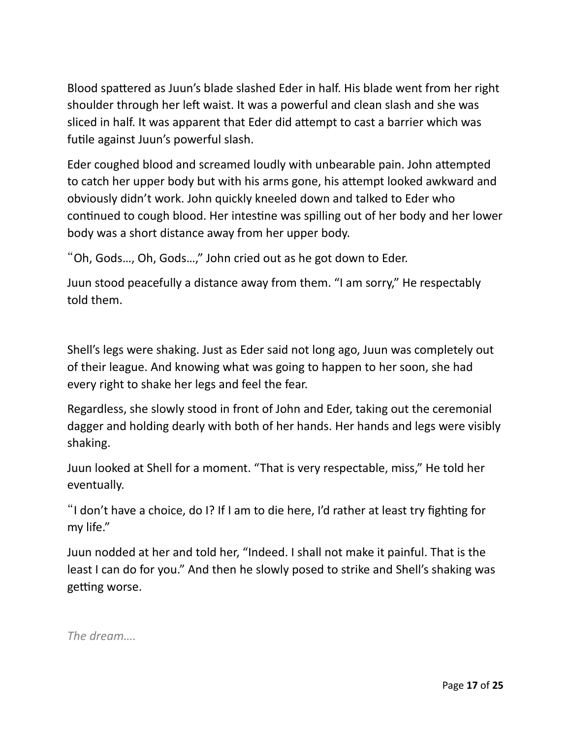Blood spattered as Juun's blade slashed Eder in half. His blade went from her right shoulder through her left waist. It was a powerful and clean slash and she was sliced in half. It was apparent that Eder did atempt to cast a barrier which was futle against Juun's powerful slash.

Eder coughed blood and screamed loudly with unbearable pain. John atempted to catch her upper body but with his arms gone, his atempt looked awkward and obviously didn't work. John quickly kneeled down and talked to Eder who continued to cough blood. Her intestine was spilling out of her body and her lower body was a short distance away from her upper body.

"Oh, Gods…, Oh, Gods…," John cried out as he got down to Eder.

Juun stood peacefully a distance away from them. "I am sorry," He respectably told them.

Shell's legs were shaking. Just as Eder said not long ago, Juun was completely out of their league. And knowing what was going to happen to her soon, she had every right to shake her legs and feel the fear.

Regardless, she slowly stood in front of John and Eder, taking out the ceremonial dagger and holding dearly with both of her hands. Her hands and legs were visibly shaking.

Juun looked at Shell for a moment. "That is very respectable, miss," He told her eventually.

"I don't have a choice, do I? If I am to die here, I'd rather at least try fighting for my life."

Juun nodded at her and told her, "Indeed. I shall not make it painful. That is the least I can do for you." And then he slowly posed to strike and Shell's shaking was getting worse.

*The dream….*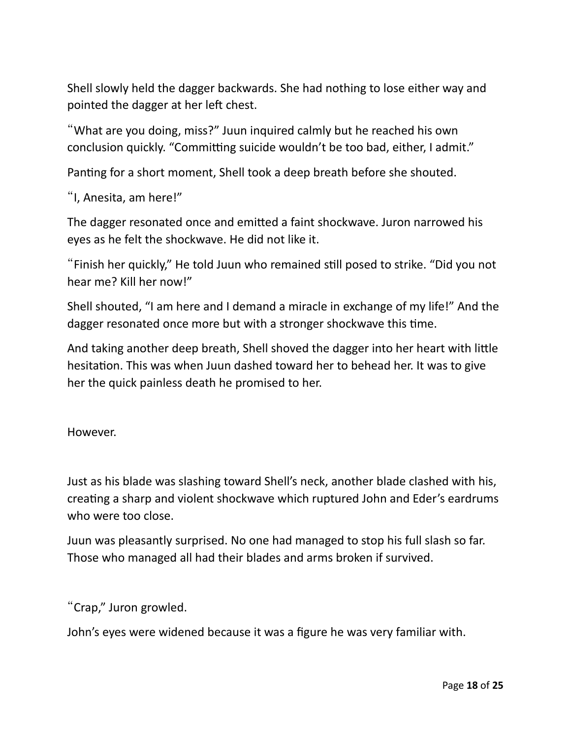Shell slowly held the dagger backwards. She had nothing to lose either way and pointed the dagger at her left chest.

"What are you doing, miss?" Juun inquired calmly but he reached his own conclusion quickly. "Committing suicide wouldn't be too bad, either, I admit."

Panting for a short moment, Shell took a deep breath before she shouted.

"I, Anesita, am here!"

The dagger resonated once and emited a faint shockwave. Juron narrowed his eyes as he felt the shockwave. He did not like it.

"Finish her quickly," He told Juun who remained stll posed to strike. "Did you not hear me? Kill her now!"

Shell shouted, "I am here and I demand a miracle in exchange of my life!" And the dagger resonated once more but with a stronger shockwave this time.

And taking another deep breath, Shell shoved the dagger into her heart with litle hesitaton. This was when Juun dashed toward her to behead her. It was to give her the quick painless death he promised to her.

However.

Just as his blade was slashing toward Shell's neck, another blade clashed with his, creatng a sharp and violent shockwave which ruptured John and Eder's eardrums who were too close.

Juun was pleasantly surprised. No one had managed to stop his full slash so far. Those who managed all had their blades and arms broken if survived.

"Crap," Juron growled.

John's eyes were widened because it was a fgure he was very familiar with.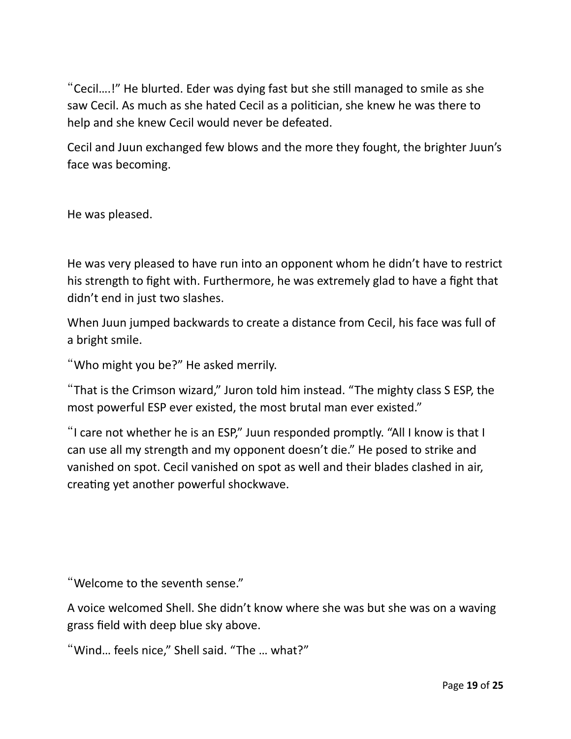"Cecil....!" He blurted. Eder was dying fast but she still managed to smile as she saw Cecil. As much as she hated Cecil as a politician, she knew he was there to help and she knew Cecil would never be defeated.

Cecil and Juun exchanged few blows and the more they fought, the brighter Juun's face was becoming.

He was pleased.

He was very pleased to have run into an opponent whom he didn't have to restrict his strength to fght with. Furthermore, he was extremely glad to have a fght that didn't end in just two slashes.

When Juun jumped backwards to create a distance from Cecil, his face was full of a bright smile.

"Who might you be?" He asked merrily.

"That is the Crimson wizard," Juron told him instead. "The mighty class S ESP, the most powerful ESP ever existed, the most brutal man ever existed."

"I care not whether he is an ESP," Juun responded promptly. "All I know is that I can use all my strength and my opponent doesn't die." He posed to strike and vanished on spot. Cecil vanished on spot as well and their blades clashed in air, creating yet another powerful shockwave.

"Welcome to the seventh sense."

A voice welcomed Shell. She didn't know where she was but she was on a waving grass feld with deep blue sky above.

"Wind… feels nice," Shell said. "The … what?"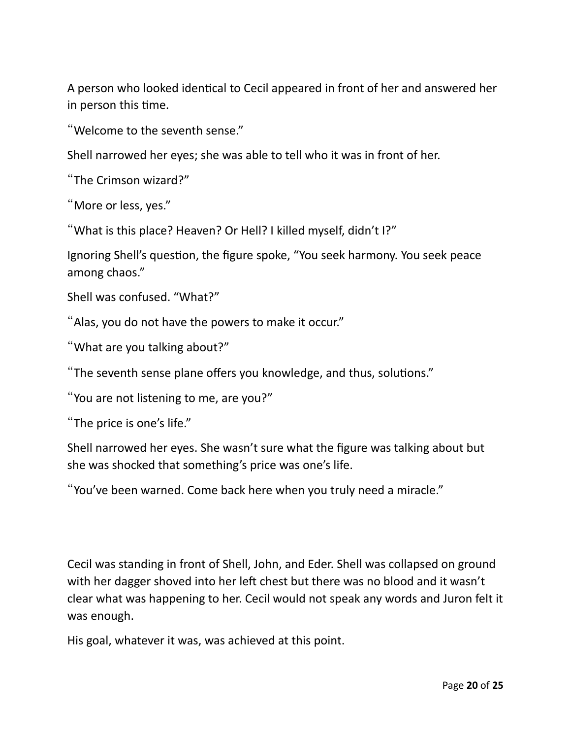A person who looked identical to Cecil appeared in front of her and answered her in person this time.

"Welcome to the seventh sense."

Shell narrowed her eyes; she was able to tell who it was in front of her.

"The Crimson wizard?"

"More or less, yes."

"What is this place? Heaven? Or Hell? I killed myself, didn't I?"

Ignoring Shell's question, the figure spoke, "You seek harmony. You seek peace among chaos."

Shell was confused. "What?"

"Alas, you do not have the powers to make it occur."

"What are you talking about?"

"The seventh sense plane offers you knowledge, and thus, solutions."

"You are not listening to me, are you?"

"The price is one's life."

Shell narrowed her eyes. She wasn't sure what the fgure was talking about but she was shocked that something's price was one's life.

"You've been warned. Come back here when you truly need a miracle."

Cecil was standing in front of Shell, John, and Eder. Shell was collapsed on ground with her dagger shoved into her left chest but there was no blood and it wasn't clear what was happening to her. Cecil would not speak any words and Juron felt it was enough.

His goal, whatever it was, was achieved at this point.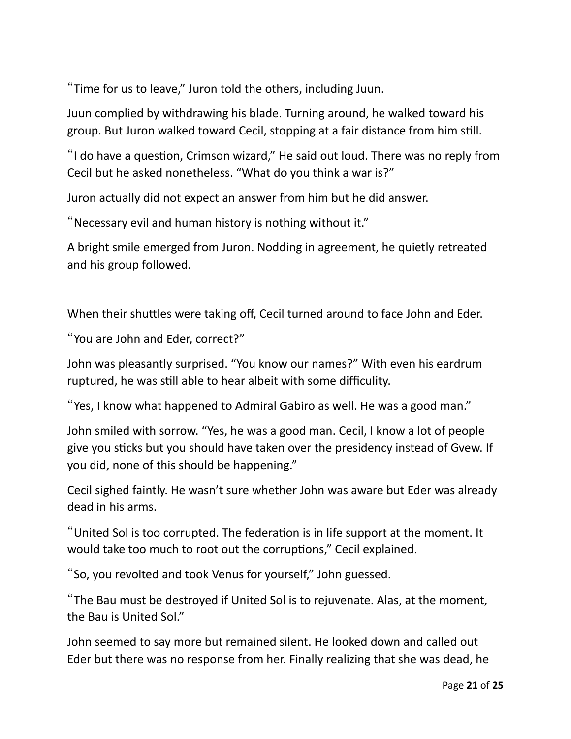"Time for us to leave," Juron told the others, including Juun.

Juun complied by withdrawing his blade. Turning around, he walked toward his group. But Juron walked toward Cecil, stopping at a fair distance from him still.

"I do have a queston, Crimson wizard," He said out loud. There was no reply from Cecil but he asked nonetheless. "What do you think a war is?"

Juron actually did not expect an answer from him but he did answer.

"Necessary evil and human history is nothing without it."

A bright smile emerged from Juron. Nodding in agreement, he quietly retreated and his group followed.

When their shuttles were taking off, Cecil turned around to face John and Eder.

"You are John and Eder, correct?"

John was pleasantly surprised. "You know our names?" With even his eardrum ruptured, he was still able to hear albeit with some difficulity.

"Yes, I know what happened to Admiral Gabiro as well. He was a good man."

John smiled with sorrow. "Yes, he was a good man. Cecil, I know a lot of people give you sticks but you should have taken over the presidency instead of Gvew. If you did, none of this should be happening."

Cecil sighed faintly. He wasn't sure whether John was aware but Eder was already dead in his arms.

"United Sol is too corrupted. The federaton is in life support at the moment. It would take too much to root out the corruptons," Cecil explained.

"So, you revolted and took Venus for yourself," John guessed.

"The Bau must be destroyed if United Sol is to rejuvenate. Alas, at the moment, the Bau is United Sol."

John seemed to say more but remained silent. He looked down and called out Eder but there was no response from her. Finally realizing that she was dead, he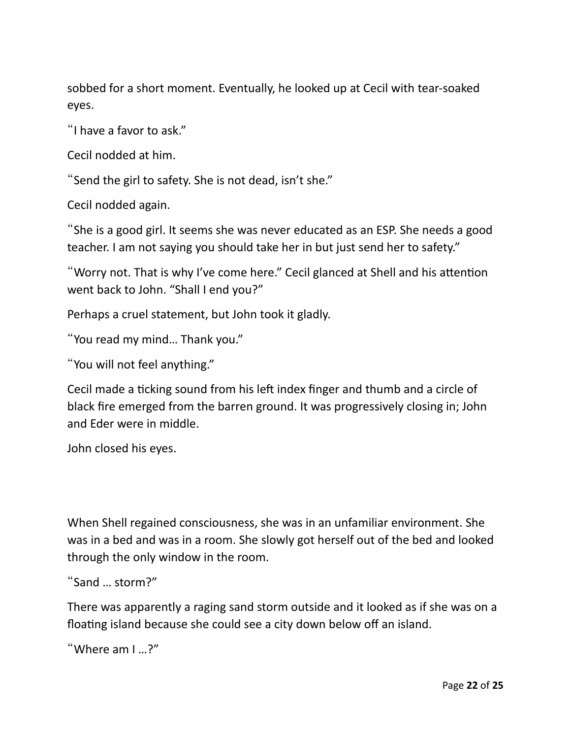sobbed for a short moment. Eventually, he looked up at Cecil with tear-soaked eyes.

"I have a favor to ask."

Cecil nodded at him.

"Send the girl to safety. She is not dead, isn't she."

Cecil nodded again.

"She is a good girl. It seems she was never educated as an ESP. She needs a good teacher. I am not saying you should take her in but just send her to safety."

"Worry not. That is why I've come here." Cecil glanced at Shell and his atenton went back to John. "Shall I end you?"

Perhaps a cruel statement, but John took it gladly.

"You read my mind… Thank you."

"You will not feel anything."

Cecil made a ticking sound from his left index finger and thumb and a circle of black fre emerged from the barren ground. It was progressively closing in; John and Eder were in middle.

John closed his eyes.

When Shell regained consciousness, she was in an unfamiliar environment. She was in a bed and was in a room. She slowly got herself out of the bed and looked through the only window in the room.

```
"Sand … storm?"
```
There was apparently a raging sand storm outside and it looked as if she was on a floating island because she could see a city down below off an island.

```
"Where am I …?"
```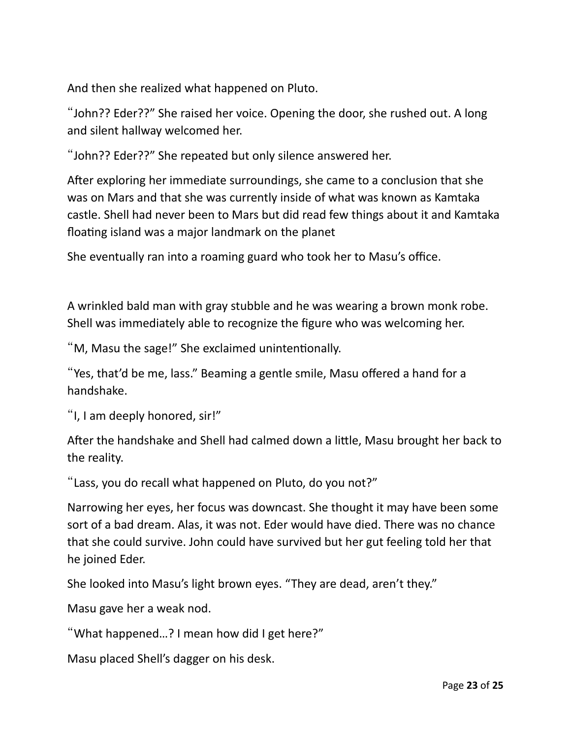And then she realized what happened on Pluto.

"John?? Eder??" She raised her voice. Opening the door, she rushed out. A long and silent hallway welcomed her.

"John?? Eder??" She repeated but only silence answered her.

Afer exploring her immediate surroundings, she came to a conclusion that she was on Mars and that she was currently inside of what was known as Kamtaka castle. Shell had never been to Mars but did read few things about it and Kamtaka floating island was a major landmark on the planet

She eventually ran into a roaming guard who took her to Masu's office.

A wrinkled bald man with gray stubble and he was wearing a brown monk robe. Shell was immediately able to recognize the fgure who was welcoming her.

"M, Masu the sage!" She exclaimed unintentionally.

"Yes, that'd be me, lass." Beaming a gentle smile, Masu offered a hand for a handshake.

"I, I am deeply honored, sir!"

Afer the handshake and Shell had calmed down a litle, Masu brought her back to the reality.

"Lass, you do recall what happened on Pluto, do you not?"

Narrowing her eyes, her focus was downcast. She thought it may have been some sort of a bad dream. Alas, it was not. Eder would have died. There was no chance that she could survive. John could have survived but her gut feeling told her that he joined Eder.

She looked into Masu's light brown eyes. "They are dead, aren't they."

Masu gave her a weak nod.

"What happened…? I mean how did I get here?"

Masu placed Shell's dagger on his desk.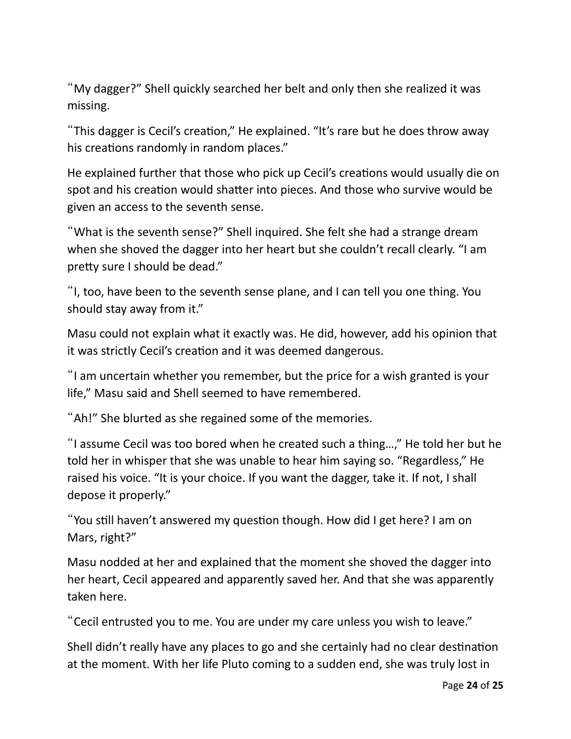"My dagger?" Shell quickly searched her belt and only then she realized it was missing.

"This dagger is Cecil's creaton," He explained. "It's rare but he does throw away his creations randomly in random places."

He explained further that those who pick up Cecil's creatons would usually die on spot and his creation would shatter into pieces. And those who survive would be given an access to the seventh sense.

"What is the seventh sense?" Shell inquired. She felt she had a strange dream when she shoved the dagger into her heart but she couldn't recall clearly. "I am pretty sure I should be dead."

"I, too, have been to the seventh sense plane, and I can tell you one thing. You should stay away from it."

Masu could not explain what it exactly was. He did, however, add his opinion that it was strictly Cecil's creaton and it was deemed dangerous.

"I am uncertain whether you remember, but the price for a wish granted is your life," Masu said and Shell seemed to have remembered.

"Ah!" She blurted as she regained some of the memories.

"I assume Cecil was too bored when he created such a thing…," He told her but he told her in whisper that she was unable to hear him saying so. "Regardless," He raised his voice. "It is your choice. If you want the dagger, take it. If not, I shall depose it properly."

"You still haven't answered my question though. How did I get here? I am on Mars, right?"

Masu nodded at her and explained that the moment she shoved the dagger into her heart, Cecil appeared and apparently saved her. And that she was apparently taken here.

"Cecil entrusted you to me. You are under my care unless you wish to leave."

Shell didn't really have any places to go and she certainly had no clear destnaton at the moment. With her life Pluto coming to a sudden end, she was truly lost in